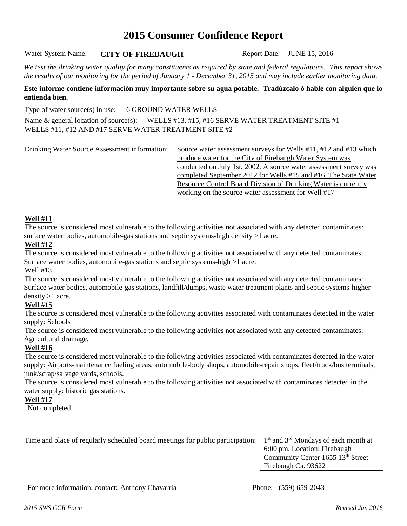## **2015 Consumer Confidence Report**

Water System Name: **CITY OF FIREBAUGH** Report Date: JUNE 15, 2016

*We test the drinking water quality for many constituents as required by state and federal regulations. This report shows the results of our monitoring for the period of January 1 - December 31, 2015 and may include earlier monitoring data.*

**Este informe contiene información muy importante sobre su agua potable. Tradúzcalo ó hable con alguien que lo entienda bien.**

Type of water source(s) in use: 6 GROUND WATER WELLS

Name & general location of source(s): WELLS #13, #15, #16 SERVE WATER TREATMENT SITE #1 WELLS #11, #12 AND #17 SERVE WATER TREATMENT SITE #2

Drinking Water Source Assessment information: Source water assessment surveys for Wells #11, #12 and #13 which produce water for the City of Firebaugh Water System was conducted on July 1st, 2002. A source water assessment survey was completed September 2012 for Wells #15 and #16. The State Water Resource Control Board Division of Drinking Water is currently working on the source water assessment for Well #17

## **Well #11**

The source is considered most vulnerable to the following activities not associated with any detected contaminates: surface water bodies, automobile-gas stations and septic systems-high density  $>1$  acre.

## **Well #12**

The source is considered most vulnerable to the following activities not associated with any detected contaminates: Surface water bodies, automobile-gas stations and septic systems-high >1 acre.

Well #13

The source is considered most vulnerable to the following activities not associated with any detected contaminates: Surface water bodies, automobile-gas stations, landfill/dumps, waste water treatment plants and septic systems-higher density >1 acre.

## **Well #15**

The source is considered most vulnerable to the following activities associated with contaminates detected in the water supply: Schools

The source is considered most vulnerable to the following activities not associated with any detected contaminates: Agricultural drainage.

## **Well #16**

The source is considered most vulnerable to the following activities associated with contaminates detected in the water supply: Airports-maintenance fueling areas, automobile-body shops, automobile-repair shops, fleet/truck/bus terminals, junk/scrap/salvage yards, schools.

The source is considered most vulnerable to the following activities not associated with contaminates detected in the water supply: historic gas stations.

### **Well #17**

Not completed

| Time and place of regularly scheduled board meetings for public participation: | $1st$ and $3rd$ Mondays of each month at      |
|--------------------------------------------------------------------------------|-----------------------------------------------|
|                                                                                | 6:00 pm. Location: Firebaugh                  |
|                                                                                | Community Center 1655 13 <sup>th</sup> Street |
|                                                                                | Firebaugh Ca. 93622                           |
|                                                                                |                                               |

For more information, contact: Anthony Chavarria Phone: (559) 659-2043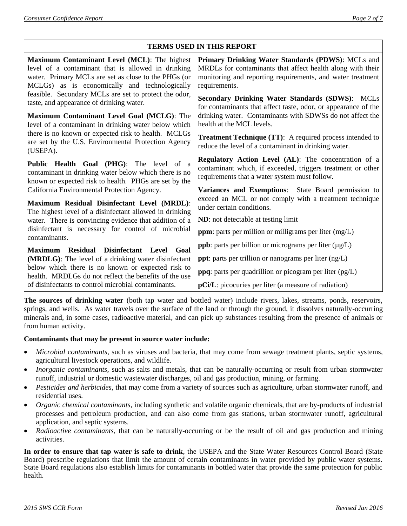## **TERMS USED IN THIS REPORT**

| Maximum Contaminant Level (MCL): The highest<br>level of a contaminant that is allowed in drinking<br>water. Primary MCLs are set as close to the PHGs (or<br>MCLGs) as is economically and technologically | Primary Drinking Water Standards (PDWS): MCLs and<br>MRDLs for contaminants that affect health along with their<br>monitoring and reporting requirements, and water treatment<br>requirements. |  |  |  |
|-------------------------------------------------------------------------------------------------------------------------------------------------------------------------------------------------------------|------------------------------------------------------------------------------------------------------------------------------------------------------------------------------------------------|--|--|--|
| feasible. Secondary MCLs are set to protect the odor,<br>taste, and appearance of drinking water.                                                                                                           | Secondary Drinking Water Standards (SDWS): MCLs<br>for contaminants that affect taste, odor, or appearance of the                                                                              |  |  |  |
| Maximum Contaminant Level Goal (MCLG): The<br>level of a contaminant in drinking water below which                                                                                                          | drinking water. Contaminants with SDWSs do not affect the<br>health at the MCL levels.                                                                                                         |  |  |  |
| there is no known or expected risk to health. MCLGs<br>are set by the U.S. Environmental Protection Agency<br>(USEPA).                                                                                      | <b>Treatment Technique (TT):</b> A required process intended to<br>reduce the level of a contaminant in drinking water.                                                                        |  |  |  |
| Public Health Goal (PHG): The level of a<br>contaminant in drinking water below which there is no<br>known or expected risk to health. PHGs are set by the                                                  | Regulatory Action Level (AL): The concentration of a<br>contaminant which, if exceeded, triggers treatment or other<br>requirements that a water system must follow.                           |  |  |  |
| California Environmental Protection Agency.                                                                                                                                                                 | Variances and Exemptions: State Board permission to<br>exceed an MCL or not comply with a treatment technique<br>under certain conditions.                                                     |  |  |  |
| Maximum Residual Disinfectant Level (MRDL):<br>The highest level of a disinfectant allowed in drinking                                                                                                      |                                                                                                                                                                                                |  |  |  |
| water. There is convincing evidence that addition of a                                                                                                                                                      | <b>ND</b> : not detectable at testing limit                                                                                                                                                    |  |  |  |
| disinfectant is necessary for control of microbial<br>contaminants.                                                                                                                                         | <b>ppm</b> : parts per million or milligrams per liter $(mg/L)$                                                                                                                                |  |  |  |
| <b>Residual</b><br>Disinfectant Level<br><b>Maximum</b><br>Goal                                                                                                                                             | ppb: parts per billion or micrograms per liter (µg/L)                                                                                                                                          |  |  |  |
| (MRDLG): The level of a drinking water disinfectant                                                                                                                                                         | <b>ppt</b> : parts per trillion or nanograms per liter $(ng/L)$                                                                                                                                |  |  |  |
| below which there is no known or expected risk to<br>health. MRDLGs do not reflect the benefits of the use                                                                                                  | ppq: parts per quadrillion or picogram per liter (pg/L)                                                                                                                                        |  |  |  |
| of disinfectants to control microbial contaminants.                                                                                                                                                         | <b>pCi/L</b> : picocuries per liter (a measure of radiation)                                                                                                                                   |  |  |  |

**The sources of drinking water** (both tap water and bottled water) include rivers, lakes, streams, ponds, reservoirs, springs, and wells. As water travels over the surface of the land or through the ground, it dissolves naturally-occurring minerals and, in some cases, radioactive material, and can pick up substances resulting from the presence of animals or from human activity.

#### **Contaminants that may be present in source water include:**

- *Microbial contaminants*, such as viruses and bacteria, that may come from sewage treatment plants, septic systems, agricultural livestock operations, and wildlife.
- *Inorganic contaminants*, such as salts and metals, that can be naturally-occurring or result from urban stormwater runoff, industrial or domestic wastewater discharges, oil and gas production, mining, or farming.
- *Pesticides and herbicides*, that may come from a variety of sources such as agriculture, urban stormwater runoff, and residential uses.
- *Organic chemical contaminants*, including synthetic and volatile organic chemicals, that are by-products of industrial processes and petroleum production, and can also come from gas stations, urban stormwater runoff, agricultural application, and septic systems.
- *Radioactive contaminants*, that can be naturally-occurring or be the result of oil and gas production and mining activities.

**In order to ensure that tap water is safe to drink**, the USEPA and the State Water Resources Control Board (State Board) prescribe regulations that limit the amount of certain contaminants in water provided by public water systems. State Board regulations also establish limits for contaminants in bottled water that provide the same protection for public health.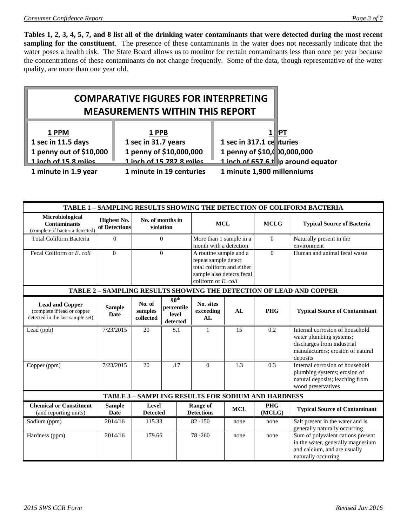**Tables 1, 2, 3, 4, 5, 7, and 8 list all of the drinking water contaminants that were detected during the most recent sampling for the constituent**. The presence of these contaminants in the water does not necessarily indicate that the water poses a health risk. The State Board allows us to monitor for certain contaminants less than once per year because the concentrations of these contaminants do not change frequently. Some of the data, though representative of the water quality, are more than one year old.

# **COMPARATIVE FIGURES FOR INTERPRETING MEASUREMENTS WITHIN THIS REPORT**

| 1 PPM                   | 1 PPB                    | I≀PT                               |
|-------------------------|--------------------------|------------------------------------|
| 1 sec in 11.5 days      | 1 sec in 31.7 years      | 1 sec in 317.1 ce turies           |
| 1 penny out of \$10,000 | 1 penny of \$10,000,000  | 1 penny of \$10,( 0,000,000        |
| $1$ inch of 15.8 miles  | 1 inch of 15 782 8 miles | 1 inch of 657 6 t p around equator |
| 1 minute in 1.9 year    | 1 minute in 19 centuries | 1 minute 1,900 millenniums         |

| TABLE 1 - SAMPLING RESULTS SHOWING THE DETECTION OF COLIFORM BACTERIA                     |                                     |                                |                                                     |                                                                                                                                 |            |                                                           |                                                                                                                                           |
|-------------------------------------------------------------------------------------------|-------------------------------------|--------------------------------|-----------------------------------------------------|---------------------------------------------------------------------------------------------------------------------------------|------------|-----------------------------------------------------------|-------------------------------------------------------------------------------------------------------------------------------------------|
| Microbiological<br><b>Contaminants</b><br>(complete if bacteria detected)                 | <b>Highest No.</b><br>of Detections | No. of months in<br>violation  |                                                     | <b>MCL</b>                                                                                                                      |            | <b>MCLG</b>                                               | <b>Typical Source of Bacteria</b>                                                                                                         |
| <b>Total Coliform Bacteria</b>                                                            | $\Omega$                            |                                | $\Omega$                                            | More than 1 sample in a<br>month with a detection                                                                               |            | $\Omega$                                                  | Naturally present in the<br>environment                                                                                                   |
| Fecal Coliform or E. coli                                                                 | $\theta$                            | $\Omega$                       |                                                     | A routine sample and a<br>repeat sample detect<br>total coliform and either<br>sample also detects fecal<br>coliform or E. coli |            | $\theta$                                                  | Human and animal fecal waste                                                                                                              |
|                                                                                           |                                     |                                |                                                     |                                                                                                                                 |            |                                                           | TABLE 2 - SAMPLING RESULTS SHOWING THE DETECTION OF LEAD AND COPPER                                                                       |
| <b>Lead and Copper</b><br>(complete if lead or copper<br>detected in the last sample set) | <b>Sample</b><br><b>Date</b>        | No. of<br>samples<br>collected | 90 <sup>th</sup><br>percentile<br>level<br>detected | No. sites<br>exceeding<br>AL                                                                                                    | AL         | <b>PHG</b>                                                | <b>Typical Source of Contaminant</b>                                                                                                      |
| Lead (ppb)                                                                                | 7/23/2015                           | 20                             | 8.1                                                 | $\mathbf{1}$                                                                                                                    | 15         | 0.2                                                       | Internal corrosion of household<br>water plumbing systems;<br>discharges from industrial<br>manufacturers; erosion of natural<br>deposits |
| Copper (ppm)                                                                              | 7/23/2015                           | 20                             | .17                                                 | $\theta$                                                                                                                        | 1.3        | 0.3                                                       | Internal corrosion of household<br>plumbing systems; erosion of<br>natural deposits; leaching from<br>wood preservatives                  |
|                                                                                           |                                     |                                |                                                     |                                                                                                                                 |            | <b>TABLE 3 - SAMPLING RESULTS FOR SODIUM AND HARDNESS</b> |                                                                                                                                           |
| <b>Chemical or Constituent</b><br>(and reporting units)                                   | <b>Sample</b><br>Date               | Level<br><b>Detected</b>       |                                                     | <b>Range of</b><br><b>Detections</b>                                                                                            | <b>MCL</b> | <b>PHG</b><br>(MCLG)                                      | <b>Typical Source of Contaminant</b>                                                                                                      |
| Sodium (ppm)                                                                              | 2014/16                             | 115.33                         |                                                     | $82 - 150$                                                                                                                      | none       | none                                                      | Salt present in the water and is<br>generally naturally occurring                                                                         |
| Hardness (ppm)                                                                            | 2014/16                             | 179.66                         |                                                     | 78-260                                                                                                                          | none       | none                                                      | Sum of polyvalent cations present<br>in the water, generally magnesium<br>and calcium, and are usually<br>naturally occurring             |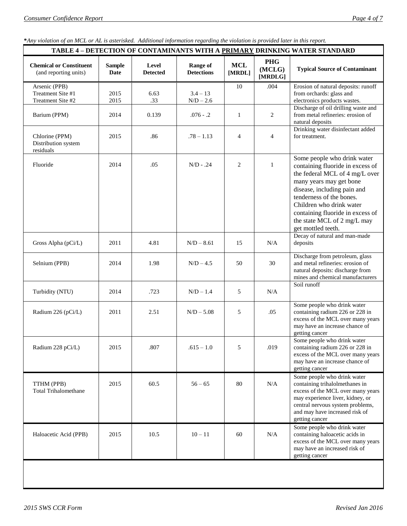**\****Any violation of an MCL or AL is asterisked. Additional information regarding the violation is provided later in this report.*

| <b>TABLE 4 - DETECTION OF CONTAMINANTS WITH A PRIMARY DRINKING WATER STANDARD</b> |                       |                          |                                      |                      |                                 |                                                                                                                                                                                                                                                                                                              |
|-----------------------------------------------------------------------------------|-----------------------|--------------------------|--------------------------------------|----------------------|---------------------------------|--------------------------------------------------------------------------------------------------------------------------------------------------------------------------------------------------------------------------------------------------------------------------------------------------------------|
| <b>Chemical or Constituent</b><br>(and reporting units)                           | <b>Sample</b><br>Date | Level<br><b>Detected</b> | <b>Range of</b><br><b>Detections</b> | <b>MCL</b><br>[MRDL] | <b>PHG</b><br>(MCLG)<br>[MRDLG] | <b>Typical Source of Contaminant</b>                                                                                                                                                                                                                                                                         |
| Arsenic (PPB)<br>Treatment Site #1<br>Treatment Site #2                           | 2015<br>2015          | 6.63<br>.33              | $3.4 - 13$<br>$N/D - 2.6$            | 10                   | .004                            | Erosion of natural deposits: runoff<br>from orchards: glass and<br>electronics products wastes.                                                                                                                                                                                                              |
| Barium (PPM)                                                                      | 2014                  | 0.139                    | $.076 - .2$                          | 1                    | 2                               | Discharge of oil drilling waste and<br>from metal refineries: erosion of<br>natural deposits                                                                                                                                                                                                                 |
| Chlorine (PPM)<br>Distribution system<br>residuals                                | 2015                  | .86                      | $.78 - 1.13$                         | $\overline{4}$       | $\overline{4}$                  | Drinking water disinfectant added<br>for treatment.                                                                                                                                                                                                                                                          |
| Fluoride                                                                          | 2014                  | .05                      | $N/D - .24$                          | 2                    | $\mathbf{1}$                    | Some people who drink water<br>containing fluoride in excess of<br>the federal MCL of 4 mg/L over<br>many years may get bone<br>disease, including pain and<br>tenderness of the bones.<br>Children who drink water<br>containing fluoride in excess of<br>the state MCL of 2 mg/L may<br>get mottled teeth. |
| Gross Alpha (pCi/L)                                                               | 2011                  | 4.81                     | $N/D - 8.61$                         | 15                   | N/A                             | Decay of natural and man-made<br>deposits                                                                                                                                                                                                                                                                    |
| Selnium (PPB)                                                                     | 2014                  | 1.98                     | $N/D - 4.5$                          | 50                   | 30                              | Discharge from petroleum, glass<br>and metal refineries: erosion of<br>natural deposits: discharge from<br>mines and chemical manufacturers                                                                                                                                                                  |
| Turbidity (NTU)                                                                   | 2014                  | .723                     | $N/D - 1.4$                          | 5                    | N/A                             | Soil runoff                                                                                                                                                                                                                                                                                                  |
| Radium 226 (pCi/L)                                                                | 2011                  | 2.51                     | $N/D - 5.08$                         | 5                    | .05                             | Some people who drink water<br>containing radium 226 or 228 in<br>excess of the MCL over many years<br>may have an increase chance of<br>getting cancer                                                                                                                                                      |
| Radium 228 pCi/L)                                                                 | 2015                  | .807                     | $.615 - 1.0$                         | 5                    | .019                            | Some people who drink water<br>containing radium 226 or 228 in<br>excess of the MCL over many years<br>may have an increase chance of<br>getting cancer                                                                                                                                                      |
| TTHM (PPB)<br><b>Total Trihalomethane</b>                                         | 2015                  | 60.5                     | $56 - 65$                            | 80                   | $\rm N/A$                       | Some people who drink water<br>containing trihalolmethanes in<br>excess of the MCL over many years<br>may experience liver, kidney, or<br>central nervous system problems,<br>and may have increased risk of<br>getting cancer                                                                               |
| Haloacetic Acid (PPB)                                                             | 2015                  | 10.5                     | $10 - 11$                            | 60                   | N/A                             | Some people who drink water<br>containing haloacetic acids in<br>excess of the MCL over many years<br>may have an increased risk of<br>getting cancer                                                                                                                                                        |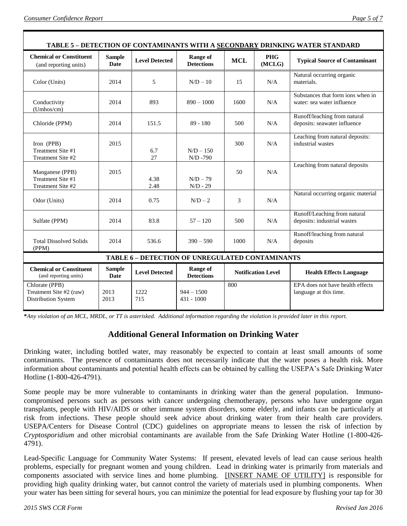| TABLE 5 - DETECTION OF CONTAMINANTS WITH A SECONDARY DRINKING WATER STANDARD |                              |                       |                                      |                           |                      |                                                                 |
|------------------------------------------------------------------------------|------------------------------|-----------------------|--------------------------------------|---------------------------|----------------------|-----------------------------------------------------------------|
| <b>Chemical or Constituent</b><br>(and reporting units)                      | <b>Sample</b><br>Date        | <b>Level Detected</b> | <b>Range of</b><br><b>Detections</b> | <b>MCL</b>                | <b>PHG</b><br>(MCLG) | <b>Typical Source of Contaminant</b>                            |
| Color (Units)                                                                | 2014                         | 5                     | $N/D - 10$                           | 15                        | N/A                  | Natural occurring organic<br>materials.                         |
| Conductivity<br>(Umhos/cm)                                                   | 2014                         | 893                   | $890 - 1000$                         | 1600                      | N/A                  | Substances that form ions when in<br>water: sea water influence |
| Chloride (PPM)                                                               | 2014                         | 151.5                 | $89 - 180$                           | 500                       | N/A                  | Runoff/leaching from natural<br>deposits: seawater influence    |
| Iron (PPB)<br>Treatment Site #1<br>Treatment Site #2                         | 2015                         | 6.7<br>27             | $N/D - 150$<br>$N/D - 790$           | 300                       | N/A                  | Leaching from natural deposits:<br>industrial wastes            |
| Manganese (PPB)<br>Treatment Site #1<br>Treatment Site #2                    | 2015                         | 4.38<br>2.48          | $N/D - 79$<br>$N/D - 29$             | 50                        | N/A                  | Leaching from natural deposits                                  |
| Odor (Units)                                                                 | 2014                         | 0.75                  | $N/D-2$                              | 3                         | N/A                  | Natural occurring organic material                              |
| Sulfate (PPM)                                                                | 2014                         | 83.8                  | $57 - 120$                           | 500                       | N/A                  | Runoff/Leaching from natural<br>deposits: industrial wastes     |
| <b>Total Dissolved Solids</b><br>(PPM)                                       | 2014                         | 536.6                 | $390 - 590$                          | 1000                      | N/A                  | Runoff/leaching from natural<br>deposits                        |
| <b>TABLE 6 - DETECTION OF UNREGULATED CONTAMINANTS</b>                       |                              |                       |                                      |                           |                      |                                                                 |
| <b>Chemical or Constituent</b><br>(and reporting units)                      | <b>Sample</b><br><b>Date</b> | <b>Level Detected</b> | <b>Range of</b><br><b>Detections</b> | <b>Notification Level</b> |                      | <b>Health Effects Language</b>                                  |
| Chlorate (PPB)<br>Treatment Site #2 (raw)<br>Distribution System             | 2013<br>2013                 | 1222<br>715           | $944 - 1500$<br>$431 - 1000$         | 800                       |                      | EPA does not have health effects<br>language at this time.      |

**\****Any violation of an MCL, MRDL, or TT is asterisked. Additional information regarding the violation is provided later in this report.*

## **Additional General Information on Drinking Water**

Drinking water, including bottled water, may reasonably be expected to contain at least small amounts of some contaminants. The presence of contaminants does not necessarily indicate that the water poses a health risk. More information about contaminants and potential health effects can be obtained by calling the USEPA's Safe Drinking Water Hotline (1-800-426-4791).

Some people may be more vulnerable to contaminants in drinking water than the general population. Immunocompromised persons such as persons with cancer undergoing chemotherapy, persons who have undergone organ transplants, people with HIV/AIDS or other immune system disorders, some elderly, and infants can be particularly at risk from infections. These people should seek advice about drinking water from their health care providers. USEPA/Centers for Disease Control (CDC) guidelines on appropriate means to lessen the risk of infection by *Cryptosporidium* and other microbial contaminants are available from the Safe Drinking Water Hotline (1-800-426- 4791).

Lead-Specific Language for Community Water Systems: If present, elevated levels of lead can cause serious health problems, especially for pregnant women and young children. Lead in drinking water is primarily from materials and components associated with service lines and home plumbing. [INSERT NAME OF UTILITY] is responsible for providing high quality drinking water, but cannot control the variety of materials used in plumbing components. When your water has been sitting for several hours, you can minimize the potential for lead exposure by flushing your tap for 30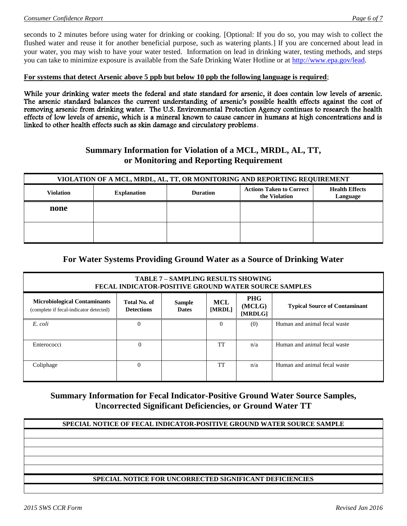seconds to 2 minutes before using water for drinking or cooking. [Optional: If you do so, you may wish to collect the flushed water and reuse it for another beneficial purpose, such as watering plants.] If you are concerned about lead in your water, you may wish to have your water tested. Information on lead in drinking water, testing methods, and steps you can take to minimize exposure is available from the Safe Drinking Water Hotline or at [http://www.epa.gov/lead.](http://www.epa.gov/lead)

### **For systems that detect Arsenic above 5 ppb but below 10 ppb the following language is required**;

While your drinking water meets the federal and state standard for arsenic, it does contain low levels of arsenic. The arsenic standard balances the current understanding of arsenic's possible health effects against the cost of removing arsenic from drinking water. The U.S. Environmental Protection Agency continues to research the health effects of low levels of arsenic, which is a mineral known to cause cancer in humans at high concentrations and is linked to other health effects such as skin damage and circulatory problems.

## **Summary Information for Violation of a MCL, MRDL, AL, TT, or Monitoring and Reporting Requirement**

| VIOLATION OF A MCL, MRDL, AL, TT, OR MONITORING AND REPORTING REQUIREMENT |                    |                                                                                                          |  |  |  |  |
|---------------------------------------------------------------------------|--------------------|----------------------------------------------------------------------------------------------------------|--|--|--|--|
| <b>Violation</b>                                                          | <b>Explanation</b> | <b>Actions Taken to Correct</b><br><b>Health Effects</b><br><b>Duration</b><br>the Violation<br>Language |  |  |  |  |
| none                                                                      |                    |                                                                                                          |  |  |  |  |
|                                                                           |                    |                                                                                                          |  |  |  |  |
|                                                                           |                    |                                                                                                          |  |  |  |  |
|                                                                           |                    |                                                                                                          |  |  |  |  |

## **For Water Systems Providing Ground Water as a Source of Drinking Water**

| <b>TABLE 7 - SAMPLING RESULTS SHOWING</b><br>FECAL INDICATOR-POSITIVE GROUND WATER SOURCE SAMPLES                                                                                                                                                      |                |  |          |     |                              |  |  |
|--------------------------------------------------------------------------------------------------------------------------------------------------------------------------------------------------------------------------------------------------------|----------------|--|----------|-----|------------------------------|--|--|
| <b>PHG</b><br><b>Microbiological Contaminants</b><br><b>MCL</b><br>Total No. of<br><b>Sample</b><br><b>Typical Source of Contaminant</b><br>(MCLG)<br><b>Detections</b><br><b>Dates</b><br>(complete if fecal-indicator detected)<br>[MRDL]<br>[MRDLG] |                |  |          |     |                              |  |  |
| E. coli                                                                                                                                                                                                                                                | $\mathbf{0}$   |  | $\Omega$ | (0) | Human and animal fecal waste |  |  |
| Enterococci                                                                                                                                                                                                                                            | $\overline{0}$ |  | TT       | n/a | Human and animal fecal waste |  |  |
| Coliphage                                                                                                                                                                                                                                              | $\Omega$       |  | TT       | n/a | Human and animal fecal waste |  |  |

## **Summary Information for Fecal Indicator-Positive Ground Water Source Samples, Uncorrected Significant Deficiencies, or Ground Water TT**

### **SPECIAL NOTICE OF FECAL INDICATOR-POSITIVE GROUND WATER SOURCE SAMPLE**

### **SPECIAL NOTICE FOR UNCORRECTED SIGNIFICANT DEFICIENCIES**